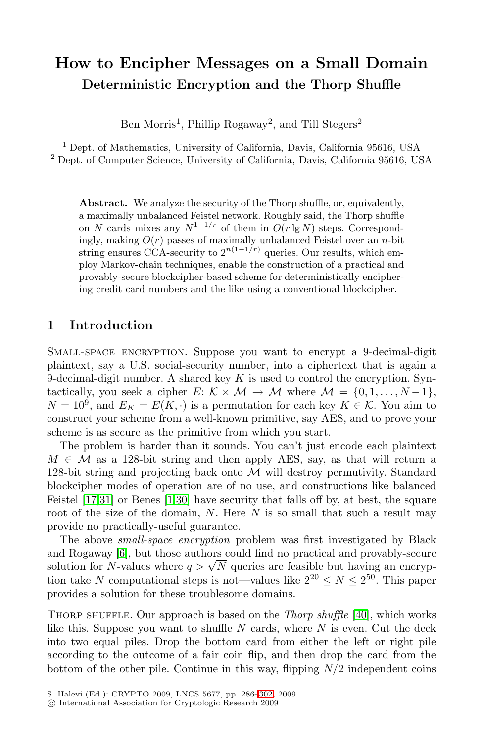# **How to Encipher Messages on a Small Domain Deterministic Encryption and the Thorp Shuffle**

Ben Morris<sup>1</sup>, Phillip Rogaway<sup>2</sup>, and Till Stegers<sup>2</sup>

<sup>1</sup> Dept. of Mathematics, University of California, Davis, California 95616, USA <sup>2</sup> Dept. of Computer Science, University of California, Davis, California 95616, USA

Abstract. We analyze the security of the Thorp shuffle, or, equivalently, a maximally unbalanced Feistel network. Roughly said, the Thorp shuffle on N cards mixes any  $N^{1-1/r}$  of them in  $O(r \lg N)$  steps. Correspondingly, making  $O(r)$  passes of maximally unbalanced Feistel over an n-bit string ensures CCA-security to  $2^{n(1-1/r)}$  queries. Our results, which employ Markov-chain techniques, enable the construction of a practical and provably-secure blockcipher-based scheme for deterministically enciphering credit card numbers and the like using a conventional blockcipher.

### **1 Introduction**

SMALL-SPACE ENCRYPTION. Suppose you want to encrypt a 9-decimal-digit plaintext, say a U.S. social-security number, into a ciphertext that is again a 9-decimal-digit number. A shared key  $K$  is used to control the encryption. Syntacti[ca](#page-14-0)[lly,](#page-15-0) you seek a cipher E:  $K \times M \rightarrow M$  where  $M = \{0, 1, ..., N-1\}$ ,  $N = 10^9$ , and  $E_K = E(K, \cdot)$  is a permutation for each key  $K \in \mathcal{K}$ . You aim to construct your scheme from a well-known primitive, say AES, and to prove your scheme is as secure as the primitive from which you start.

The problem is harder than it sounds. You can't just encode each plaintext  $M \in \mathcal{M}$  as a 128-bit string and then apply AES, say, as that will return a 128-bit string and projecting back onto  $\mathcal M$  will destroy permutivity. Standard blockcipher modes of operation are of no use, and constructions like balanced Feistel [17,31] or Benes [1,30] have security that falls off by, at best, the square root of the size of the domain,  $N$ . Here  $N$  [is](#page-16-0) so small that such a result may provide no practically-useful guarantee.

The above *small-space encryption* problem was first investigated by Black and Rogaway [6], but those authors could find no practical and provably-secure and Rogaway [0], but those authors could find no practical and provably-secure<br>solution for N-values where  $q > \sqrt{N}$  queries are feasible but having an encryption take N computational steps is not—values like  $2^{20} \le N \le 2^{50}$ . This paper provides a solution for t[hese](#page-16-1) troublesome domains.

Thorp shuffle. Our approach is based on the *Thorp shuffle* [40], which works like this. Suppose you want to shuffle  $N$  cards, where  $N$  is even. Cut the deck into two equal piles. Drop the bottom card from either the left or right pile according to the outcome of a fair coin flip, and then drop the card from the bottom of the other pile. Continue in this way, flipping  $N/2$  independent coins

S. Halevi (Ed.): CRYPTO 2009, LNCS 5677, pp. 286–302, 2009.

<sup>-</sup>c International Association for Cryptologic Research 2009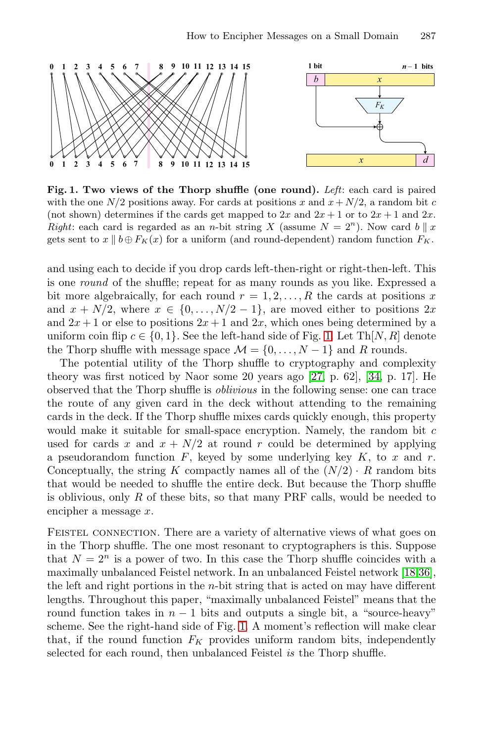<span id="page-1-0"></span>

**Fig. 1. Two views of the Thorp shuffle (one round).** *Left*: each card is paired with the one  $N/2$  positions away. For cards at positions x and  $x + N/2$ , a random bit c (not shown) determines if the cards get mapped to  $2x$  and  $2x+1$  or to  $2x+1$  and  $2x$ . *Right*: each card is regarded as an *n*-bi[t s](#page-1-0)tring X (assume  $N = 2<sup>n</sup>$ ). Now card  $b \parallel x$ <br>gots sont to  $x \parallel b \oplus F_{\text{K}}(x)$  for a uniform (and round dopendent) random function  $F_{\text{K}}$ gets sent to  $x \parallel b \oplus F_K(x)$  for a uniform (and round-dependent) random function  $F_K$ .

and using each to decide if you dro[p ca](#page-15-1)rds left-[the](#page-16-2)n-right or right-then-left. This is one *round* of the shuffle; repeat for as many rounds as you like. Expressed a bit more algebraically, for each round  $r = 1, 2, \ldots, R$  the cards at positions x and  $x + N/2$ , where  $x \in \{0, ..., N/2 - 1\}$ , are moved either to positions  $2x$ and  $2x + 1$  or else to positions  $2x + 1$  and  $2x$ , which ones being determined by a uniform coin flip  $c \in \{0, 1\}$ . See the left-hand side of Fig. 1. Let Th[N, R] denote the Thorp shuffle with message space  $\mathcal{M} = \{0, \ldots, N - 1\}$  and R rounds.

The potential utility of the Thorp shuffle to cryptography and complexity theory was first noticed by Naor some 20 years ago [27, p. 62], [34, p. 17]. He observed that the Thorp shuffle is *oblivious* in the following sense: one can trace the route of any given card in the deck without attending to the remaining cards in the deck. If the Thorp shuffle mixes cards quickly enough, this property would make it suitable for small-space encryption. Namely, the random bit  $c$ used for cards x and  $x + N/2$  at round r could be determined by applying a pseudorandom function  $F$ , keyed by some underlying key  $K$ , to  $x$  and  $r$ . Conceptually, t[he](#page-15-2) string K compactly names all of the  $(N/2) \cdot R$  $(N/2) \cdot R$  $(N/2) \cdot R$  random bits that would be needed to shuffle the entire deck. But because the Thorp shuffle is oblivious, only  $R$  of these bits, so that many PRF calls, would be needed to encipher a message x.

FEISTEL CONNECTION. There are a variety of alternative views of what goes [on](#page-1-0) in the Thorp shuffle. The one most resonant to cryptographers is this. Suppose that  $N = 2^n$  is a power of two. In this case the Thorp shuffle coincides with a maximally unbalanced Feistel network. In an unbalanced Feistel network [18,36], the left and right portions in the n-bit string that is acted on may have different lengths. Throughout this paper, "maximally unbalanced Feistel" means that the round function takes in  $n - 1$  bits and outputs a single bit, a "source-heavy" scheme. See the right-hand side of Fig. 1. A moment's reflection will make clear that, if the round function  $F_K$  provides uniform random bits, independently selected for each round, then unbalanced Feistel *is* the Thorp shuffle.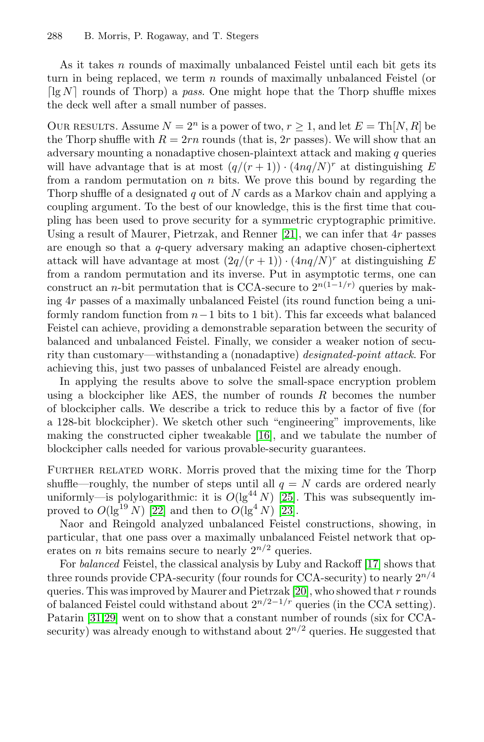As it takes  $n$  rounds of maximally unbalanced Feistel until each bit gets its turn in being replaced, we term n rounds of maximally unbalanced Feistel (or  $\lceil \lg N \rceil$  rounds of Thorp) a *pass*. One might hope that the Thorp shuffle mixes the deck well after a small number of passes.

OUR RESULTS. Assume  $N = 2^n$  is a power of two,  $r > 1$ , and let  $E = Th[N, R]$  be the Thorp shuffle with  $R = 2rn$  $R = 2rn$  rounds (that is, 2r passes). We will show that an adversary mounting a nonadaptive chosen-plaintext attack and making  $q$  queries will have advantage that is at most  $(q/(r+1)) \cdot (4nq/N)^r$  at distinguishing E from a random permutation on  $n$  bits. We prove this bound by regarding the Thorp shuffle of a designated q out of  $N$  cards as a Markov chain and applying a coupling argument. To the best of our knowledge, this is the first time that coupling has been used to prove security for a symmetric cryptographic primitive. Using a result of Maurer, Pietrzak, and Renner [21], we can infer that 4r passes are enough so that a q-query adversary making an adaptive chosen-ciphertext attack will have advantage at most  $(2q/(r+1)) \cdot (4nq/N)^r$  at distinguishing E from a random permutation and its inverse. Put in asymptotic terms, one can construct an n-bit permutation that is CCA-secure to  $2^{n(1-1/r)}$  queries by making 4r passes of a maximally unbalanced Feistel (its round function being a uniformly random function from  $n-1$  bits to 1 bit). This far exceeds what balanced Feistel can achieve, pro[vidin](#page-15-4)g a demonstrable separation between the security of balanced and unbalanced Feistel. Finally, we consider a weaker notion of security than customary—withstanding a (nonadaptive) *designated-point attack*. For achieving this, just two passes of unbalanced Feistel are already enough.

In applying the results above to solve the small-space encryption problem using a blockcipher like AE[S,](#page-15-5) the number of rounds  $R$  becomes the number of [blo](#page-15-6)ckcipher calls. We des[crib](#page-15-7)e a trick to reduce this by a factor of five (for a 128-bit blockcipher). We sketch other such "engineering" improvements, like making the constructed cipher tweakable [16], and we tabulate the number of blockcipher calls needed for various provable-security guarantees.

FURTHER RELATED WORK. Morris proved th[at](#page-15-8) [t](#page-15-8)he mixing time for the Thorp shuffle—roughly, the number o[f st](#page-15-9)eps until all  $q = N$  cards are ordered nearly uniformly—is polylogarithmic: it is  $O(\lg^{44} N)$  [25]. This was subsequently improved to  $O(\lg^{19} N)$  [22] and then to  $O(\lg^4 N)$  [23].

Naor and Reingold analyzed unbalanced Feistel constructions, showing, in particular, that one pass over a maximally unbalanced Feistel network that operates on *n* bits remains secure to nearly  $2^{n/2}$  queries.

For *balanced* Feistel, the classical analysis by Luby and Rackoff [17] shows that three rounds provide CPA-security (four rounds for CCA-security) to nearly  $2^{n/4}$ queries. This was improved by Maurer and Pietrzak [20], who showed that r rounds of balanced Feistel could withstand about  $2^{n/2-1/r}$  queries (in the CCA setting). Patarin [31,29] went on to show that a constant number of rounds (six for CCAsecurity) was already enough to withstand about  $2^{n/2}$  queries. He suggested that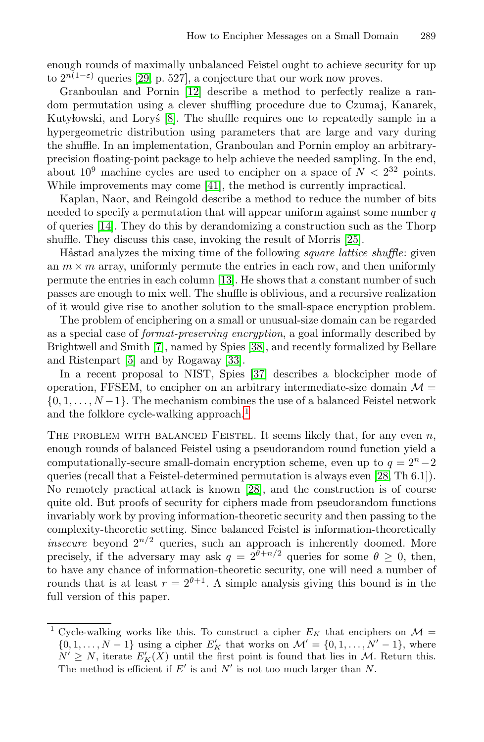enough rounds of maximally unbalanced Feistel ought to achieve security for up to  $2^{n(1-\epsilon)}$  qu[erie](#page-16-4)s [29, p. 527], a conjecture that our work now proves.

Granboulan and Pornin [12] describe a method to perfectly realize a random permutation using a clever shuffling procedure due to Czumaj, Kanarek, Kutylowski, and Lory's [8]. The shuffle requires one to repeatedly sample in a hypergeometric distribution using param[eter](#page-15-5)s that are large and vary during the shuffle. In an implementation, Granboulan and Pornin employ an arbitraryprecision floating-point package to help achieve the needed sampling. In the end, about  $10^9$  mac[hine](#page-15-10) cycles are used to encipher on a space of  $N < 2^{32}$  points. While improvements may come [41], the method is currently impractical.

Kaplan, Naor, and Reingold describe a method to reduce the number of bits needed to specify a permutation that will appear uniform against some number  $q$ of queries [14]. They do this by derandomizing a construction such as the Thorp sh[uffl](#page-14-1)e. They discuss t[his](#page-16-5) case, invoking the result of Morris [25].

Håstad analyz[es th](#page-15-11)e mixing time of the following *square lattice shuffle*: given an  $m \times m$  array, unifor[mly](#page-16-6) permute the entries in each row, and then uniformly permute the entries in each column [13]. He shows that a constant number of such passes are enough to mix well. The shuffle is oblivious, and a recursive realization of it would give rise [to](#page-3-0) another solution to the small-space encryption problem.

The problem of enciphering on a small or unusual-size domain can be regarded as a special case of *format-preserving encryption*, a goal informally described by Brightwell and Smith [7], named by Spies [38], and recently formalized by Bellare and Ristenpart [5] and by Rogaway [33].

In a recent proposal to NIST, Spies [37] d[escr](#page-15-12)ibes a blockcipher mode of [o](#page-15-12)peration, FFSEM, to [en](#page-15-12)cipher on an arbitrary intermediate-size domain  $\mathcal{M} =$  $\{0, 1, \ldots, N-1\}$ . The mechanism combines the use of a balanced Feistel network and the folklore cycle-walking approach.<sup>1</sup>

THE PROBLEM WITH BALANCED FEISTEL. It seems likely that, for any even  $n$ , enough rounds of balanced Feistel using a pseudorandom round function yield a computationally-secure small-domain encryption scheme, even up to  $q = 2<sup>n</sup> - 2$ queries (recall that a Feistel-determined permutation is always even [28, Th 6.1]). No remotely practical attack is known [28], and the construction is of course quite old. But proofs of security for ciphers made from pseudorandom functions invariably work by proving information-theoretic security and then passing to the complexity-theoretic setting. Since balanced Feistel is information-theoretically *insecure* beyond  $2^{n/2}$  queries, such an approach is inherently doomed. More precisely, if the adversary may ask  $q = 2^{\theta + n/2}$  queries for some  $\theta \ge 0$ , then, to have any chance of information-theoretic security, one will need a number of rounds that is at least  $r = 2^{\theta+1}$ . A simple analysis giving this bound is in the full version of this paper.

<span id="page-3-0"></span><sup>&</sup>lt;sup>1</sup> Cycle-walking works like this. To construct a cipher  $E_K$  that enciphers on  $\mathcal{M} =$  $\{0, 1, \ldots, N-1\}$  using a cipher  $E'_K$  that works on  $\mathcal{M}' = \{0, 1, \ldots, N'-1\}$ , where  $N' \geq N$ , iterate  $E_K'(X)$  until the first point is found that lies in M. Return this. The method is efficient if  $E'$  is and  $N'$  is not too much larger than N.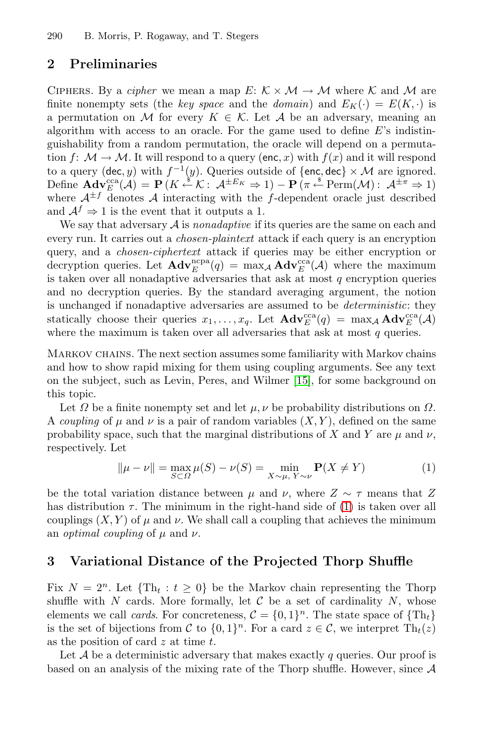# **2 Preliminaries**

CIPHERS. By a *cipher* we mean a map  $E: K \times M \rightarrow M$  where K and M are finite nonempty sets (the *key space* and the *domain*) and  $E_K(\cdot) = E(K, \cdot)$  is a permutation on M for every  $K \in \mathcal{K}$ . Let A be an adversary, meaning an algorithm with access to an oracle. For the game used to define  $E$ 's indistinguishability from a random permutation, the oracle will depend on a permutation f:  $\mathcal{M} \to \mathcal{M}$ . It will respond to a query (enc, x) with  $f(x)$  and it will respond to a query (dec, y) with  $f^{-1}(y)$ . Queries outside of {enc, dec}  $\times$  M are ignored. Define  $\mathbf{Adv}_{E}^{\text{cca}}(\mathcal{A}) = \mathbf{P}(K \stackrel{\$}{\leftarrow} \mathcal{K} : \mathcal{A}^{\pm E_K} \Rightarrow 1) - \mathbf{P}(\pi \stackrel{\$}{\leftarrow} \text{Perm}(\mathcal{M}) : \mathcal{A}^{\pm \pi} \Rightarrow 1)$ where  $A^{\pm f}$  denotes A interacting with the f-dependent oracle just described and  $A^f \Rightarrow 1$  is the event that it outputs a 1.

We say that adversary A is *nonadaptive* if its queries are the same on each and every run. It carries out a *chosen-plaintext* attack if each query is an encryption query, and a *chosen-ciphertext* attack if queries may be either encryption or decryption queries. Let  $\text{Adv}_{E}^{\text{cpa}}(q) = \max_{A} \text{Adv}_{E}^{\text{cca}}(A)$  where the maximum is taken over all nonadaptive a[dver](#page-15-13)saries that ask at most  $q$  encryption queries and no decryption queries. By the standard averaging argument, the notion is unchanged if nonadaptive adversaries are assumed to be *deterministic*: they statically choose their queries  $x_1, \ldots, x_q$ . Let  $\mathbf{Adv}_{E}^{\text{cca}}(q) = \max_{A} \mathbf{Adv}_{E}^{\text{cca}}(A)$ where the maximum is taken over all adversaries that ask at most  $q$  queries.

<span id="page-4-0"></span>Markov chains. The next section assumes some familiarity with Markov chains and how to show rapid mixing for them using coupling arguments. See any text on the subject, such as Levin, Peres, and Wilmer [15], for some background on this topic.

<span id="page-4-1"></span>Let  $\Omega$  be a finite nonempty set and let  $\mu, \nu$  be probability distributions on  $\Omega$ . A *coupling* of  $\mu$  and  $\nu$  is a pair of random variables  $(X, Y)$ , defined on the same probability space, such that the marginal distributions of X and Y are  $\mu$  and  $\nu$ , respectively. Let

$$
\|\mu - \nu\| = \max_{S \subset \Omega} \mu(S) - \nu(S) = \min_{X \sim \mu, Y \sim \nu} \mathbf{P}(X \neq Y)
$$
(1)

be the total variation distance between  $\mu$  and  $\nu$ , where  $Z \sim \tau$  means that Z has distribution  $\tau$ . The minimum in the right-hand side of (1) is taken over all couplings  $(X, Y)$  of  $\mu$  and  $\nu$ . We shall call a coupling that achieves the minimum an *optimal coupling* of  $\mu$  and  $\nu$ .

### **3 Variational Distance of the Projected Thorp Shuffle**

Fix  $N = 2^n$ . Let  $\{\text{Th}_t : t \geq 0\}$  be the Markov chain representing the Thorp shuffle with  $N$  cards. More formally, let  $C$  be a set of cardinality  $N$ , whose elements we call *cards*. For concreteness,  $C = \{0, 1\}^n$ . The state space of  $\{Th_t\}$ is the set of bijections from C to  $\{0,1\}^n$ . For a card  $z \in \mathcal{C}$ , we interpret  $\text{Th}_t(z)$ as the position of card  $z$  at time  $t$ .

Let  $A$  be a deterministic adversary that makes exactly  $q$  queries. Our proof is based on an analysis of the mixing rate of the Thorp shuffle. However, since A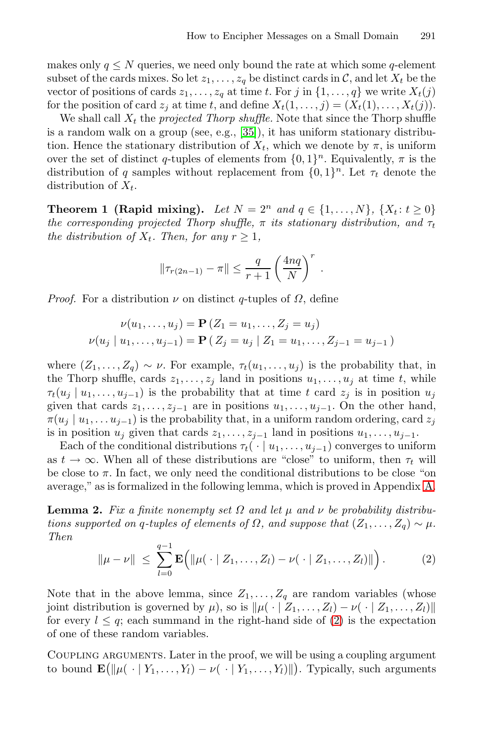<span id="page-5-2"></span>makes only  $q \leq N$  queries, we need only bound the rate at which some q-element subset of the cards mixes. So let  $z_1, \ldots, z_q$  be distinct cards in C, and let  $X_t$  be the vector of positions of cards  $z_1, \ldots, z_q$  at time t. For j in  $\{1, \ldots, q\}$  we write  $X_t(j)$ for the position of card  $z_j$  at time t, and define  $X_t(1,\ldots,j)=(X_t(1),\ldots,X_t(j)).$ 

We shall call  $X_t$  the *projected Thorp shuffle*. Note that since the Thorp shuffle is a random walk on a group (see, e.g., [35]), it has uniform stationary distribution. Hence the stationary distribution of  $X_t$ , which we denote by  $\pi$ , is uniform over the set of distinct q-tuples of elements from  $\{0,1\}^n$ . Equivalently,  $\pi$  is the distribution of q samples without replacement from  $\{0,1\}^n$ . Let  $\tau_t$  denote the distribution of  $X_t$ .

**Theorem 1 (Rapid mixing).** *Let*  $N = 2^n$  *and*  $q \in \{1, ..., N\}$ ,  $\{X_t : t \ge 0\}$ *the corresponding projected Thorp shuffle,*  $\pi$  *its stationary distribution, and*  $\tau_t$ *the distribution of*  $X_t$ *. Then, for any*  $r > 1$ *,* 

$$
\|\tau_{r(2n-1)} - \pi\| \le \frac{q}{r+1} \left(\frac{4nq}{N}\right)^r.
$$

*Proof.* For a distribution  $\nu$  on distinct q-tuples of  $\Omega$ , define

$$
\nu(u_1, \ldots, u_j) = \mathbf{P}(Z_1 = u_1, \ldots, Z_j = u_j)
$$
  

$$
\nu(u_j \mid u_1, \ldots, u_{j-1}) = \mathbf{P}(Z_j = u_j \mid Z_1 = u_1, \ldots, Z_{j-1} = u_{j-1})
$$

<span id="page-5-1"></span>where  $(Z_1,...,Z_q) \sim \nu$ . For example,  $\tau_t(u_1,...,u_j)$  is the probability that, in the Thorp shuffle, cards  $z_1, \ldots, z_j$  land in positions  $u_1, \ldots, u_j$  at time t, while  $\tau_t(u_j | u_1,\ldots,u_{j-1})$  is the probability that at time t card  $z_j$  is in position  $u_j$ given that cards  $z_1, \ldots, z_{j-1}$  are in positions  $u_1, \ldots, u_{j-1}$ . On the other hand,  $\pi(u_i | u_1, \ldots u_{i-1})$  is the probability that, in a uniform random ordering, card  $z_i$ is in position  $u_j$  given that cards  $z_1, \ldots, z_{j-1}$  land in positions  $u_1, \ldots, u_{j-1}$ .

<span id="page-5-0"></span>Each of the conditional distributions  $\tau_t(\cdot \mid u_1,\ldots,u_{j-1})$  converges to uniform as  $t \to \infty$ . When all of these distributions are "close" to uniform, then  $\tau_t$  will be close to  $\pi$ . In fact, we only need the conditional distributions to be close "on average," as is formalized in the following lemma, which is proved in Appendix A.

**Lemma 2.** *Fix a finite nonempty set*  $\Omega$  *and let*  $\mu$  *and*  $\nu$  *be probability distributions supported on q-tuples [of](#page-5-0) elements of*  $\Omega$ *, and suppose that*  $(Z_1, \ldots, Z_q) \sim \mu$ *. Then*

$$
\|\mu - \nu\| \leq \sum_{l=0}^{q-1} \mathbf{E} \Big( \|\mu(\cdot \mid Z_1, \ldots, Z_l) - \nu(\cdot \mid Z_1, \ldots, Z_l)\| \Big).
$$
 (2)

Note that in the above lemma, since  $Z_1, \ldots, Z_q$  are random variables (whose joint distribution is governed by  $\mu$ ), so is  $\|\mu(\cdot | Z_1,\ldots,Z_l) - \nu(\cdot | Z_1,\ldots,Z_l)\|$ for every  $l \leq q$ ; each summand in the right-hand side of (2) is the expectation of one of these random variables.

Coupling arguments. Later in the proof, we will be using a coupling argument to bound  $\mathbf{E}(\|\mu(\cdot | Y_1,\ldots,Y_l) - \nu(\cdot | Y_1,\ldots,Y_l)\|)$ . Typically, such arguments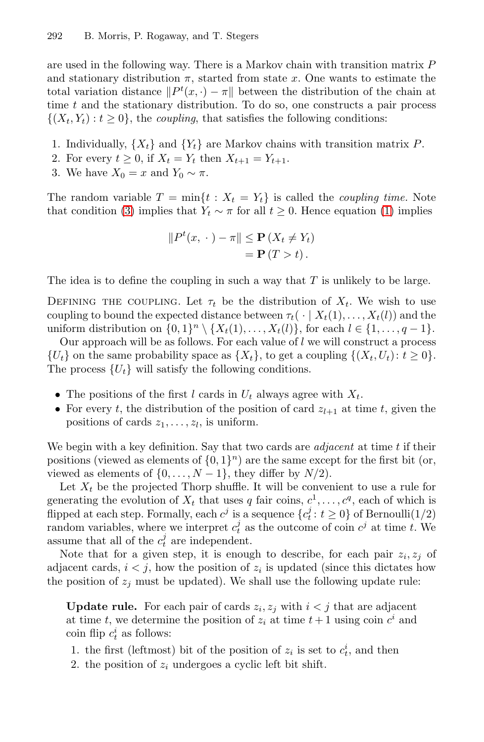are used in the following way. There is a Markov chain with transition matrix  $P$ and stationary distribution  $\pi$ , started from state x. One wants to estimate the total variation distance  $||P^t(x, \cdot) - \pi||$  between the distribution of the chain at time  $t$  and the stationary distribution. To do so, [on](#page-4-0)e constructs a pair process  $\{(X_t, Y_t): t \geq 0\}$ , the *coupling*, that satisfies the following conditions:

- 1. Individually,  $\{X_t\}$  and  $\{Y_t\}$  are Markov chains with transition matrix P.
- 2. For every  $t \geq 0$ , if  $X_t = Y_t$  then  $X_{t+1} = Y_{t+1}$ .
- 3. We have  $X_0 = x$  and  $Y_0 \sim \pi$ .

The random variable  $T = \min\{t : X_t = Y_t\}$  is called the *coupling time*. Note that condition (3) implies that  $Y_t \sim \pi$  for all  $t \geq 0$ . Hence equation (1) implies

$$
||P^{t}(x, \cdot) - \pi|| \leq \mathbf{P}(X_{t} \neq Y_{t})
$$
  
=  $\mathbf{P}(T > t).$ 

The idea is to define the coupling in such a way that  $T$  is unlikely to be large.

DEFINING THE COUPLING. Let  $\tau_t$  be the distribution of  $X_t$ . We wish to use coupling to bound the expected distance between  $\tau_t(\cdot | X_t(1),...,X_t(l))$  and the uniform distribution on  $\{0,1\}^n \setminus \{X_t(1),...,X_t(l)\}\)$ , for each  $l \in \{1,...,q-1\}$ .

Our approach will be as follows. For each value of  $l$  we will construct a process  $\{U_t\}$  on the same probability space as  $\{X_t\}$ , to get a coupling  $\{(X_t, U_t): t \geq 0\}.$ The process  $\{U_t\}$  will satisfy the following conditions.

- The positions of the first l cards in  $U_t$  always agree with  $X_t$ .
- For every t, the distribution of the position of card  $z_{l+1}$  at time t, given the positions of cards  $z_1, \ldots, z_l$ , is uniform.

We begin with a key definition. Say that two cards are *adjacent* at time t if their positions (viewed as elements of  $\{0, 1\}^n$ ) are the same except for the first bit (or, viewed as elements of  $\{0,\ldots,N-1\}$ , they differ by  $N/2$ ).

Let  $X_t$  be the projected Thorp shuffle. It will be convenient to use a rule for generating the evolution of  $X_t$  that uses q fair coins,  $c^1, \ldots, c^q$ , each of which is flipped at each step. Formally, each  $c^j$  is a sequence  $\{c_t^j : t \ge 0\}$  of Bernoulli $(1/2)$ random variables, where we interpret  $c_t^j$  as the outcome of coin  $c^j$  at time t. We assume that all of the  $c_t^j$  are independent.

Note that for a given step, it is enough to describe, for each pair  $z_i, z_j$  of adjacent cards,  $i < j$ , how the position of  $z_i$  is updated (since this dictates how the position of  $z_i$  must be updated). We shall use the following update rule:

**Update rule.** For each pair of cards  $z_i, z_j$  with  $i < j$  that are adjacent at time t, we determine the position of  $z_i$  at time  $t+1$  using coin  $c^i$  and coin flip  $c_t^i$  as follows:

- 1. the first (leftmost) bit of the position of  $z_i$  is set to  $c_t^i$ , and then
- 2. the position of  $z_i$  undergoes a cyclic left bit shift.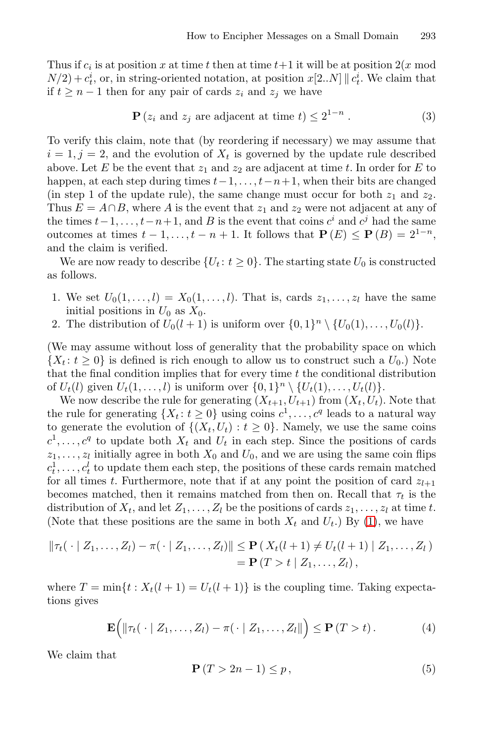Thus if  $c_i$  is at position x at time t then at time  $t+1$  it will be at position  $2(x \mod 2)$  $N(2) + c_t^i$ , or, in string-oriented notation, at position  $x[2..N] \parallel c_t^i$ . We claim that if  $t \geq n-1$  then for any pair of cards  $z_i$  and  $z_j$  we have

$$
\mathbf{P}\left(z_i \text{ and } z_j \text{ are adjacent at time } t\right) \le 2^{1-n} \,. \tag{3}
$$

To verify this claim, note that (by reordering if necessary) we may assume that  $i = 1, j = 2$ , and the evolution of  $X_t$  is governed by the update rule described above. Let E be the event that  $z_1$  and  $z_2$  are adjacent at time t. In order for E to happen, at each step during times  $t-1, \ldots, t-n+1$ , when their bits are changed (in step 1 of the update rule), the same change must occur for both  $z_1$  and  $z_2$ . Thus  $E = A \cap B$ , where A is the event that  $z_1$  and  $z_2$  were not adjacent at any of the times  $t-1,\ldots,t-n+1$ , and B is the event that coins  $c^i$  and  $c^j$  had the same outcomes at times  $t-1,\ldots,t-n+1$ . It follows that  $P(E) \leq P(B) = 2^{1-n}$ , and the claim is verified.

We are now ready to describe  $\{U_t : t \geq 0\}$ . The starting state  $U_0$  is constructed as follows.

- 1. We set  $U_0(1,\ldots,l) = X_0(1,\ldots,l)$ . That is, cards  $z_1,\ldots,z_l$  have the same initial positions in  $U_0$  as  $X_0$ .
- 2. The distribution of  $U_0(l+1)$  is uniform over  $\{0,1\}^n \setminus \{U_0(1),\ldots,U_0(l)\}.$

(We may assume without loss of generality that the probability space on which  $\{X_t : t \geq 0\}$  is defined is rich enough to allow us to construct such a  $U_0$ .) Note that the final condition implies that for every time  $t$  the conditional distribution of  $U_t(l)$  given  $U_t(1,\ldots,l)$  is uniform over  $\{0,1\}^n \setminus \{U_t(1),\ldots,U_t(l)\}.$ 

We now describe the rule for generating  $(X_{t+1}, U_{t+1})$  from  $(X_t, U_t)$ . Note that the rule for generating  $\{X_t : t \geq 0\}$  using [c](#page-4-0)oins  $c^1, \ldots, c^q$  leads to a natural way to generate the evolution of  $\{(X_t, U_t) : t \geq 0\}$ . Namely, we use the same coins  $c^1, \ldots, c^q$  to update both  $X_t$  and  $U_t$  in each step. Since the positions of cards  $z_1, \ldots, z_l$  initially agree in both  $X_0$  and  $U_0$ , and we are using the same coin flips  $c_t^1, \ldots, c_t^l$  to update them each step, the positions of these cards remain matched for all times t. Furthermore, note that if at any point the position of card  $z_{l+1}$ becomes matched, then it remains matched from then on. Recall that  $\tau_t$  is the distribution of  $X_t$ , and let  $Z_1, \ldots, Z_l$  be the positions of cards  $z_1, \ldots, z_l$  at time t. (Note that these positions are the same in both  $X_t$  and  $U_t$ .) By (1), we have

<span id="page-7-1"></span><span id="page-7-0"></span>
$$
\|\tau_t(\,\cdot\,|\,Z_1,\ldots,Z_l)-\pi(\,\cdot\,|\,Z_1,\ldots,Z_l)\|\leq \mathbf{P}\left(X_t(l+1)\neq U_t(l+1)\,|\,Z_1,\ldots,Z_l\right)\\=\mathbf{P}\left(T>t\,|\,Z_1,\ldots,Z_l\right),
$$

where  $T = \min\{t : X_t(l+1) = U_t(l+1)\}\$ is the coupling time. Taking expectations gives

$$
\mathbf{E}\Big(\|\tau_t(\,\cdot\mid Z_1,\ldots,Z_l)-\pi(\,\cdot\mid Z_1,\ldots,Z_l\|\Big)\leq \mathbf{P}\,(T>t)\,.
$$
 (4)

We claim that

$$
\mathbf{P}\left(T>2n-1\right)\leq p\,,\tag{5}
$$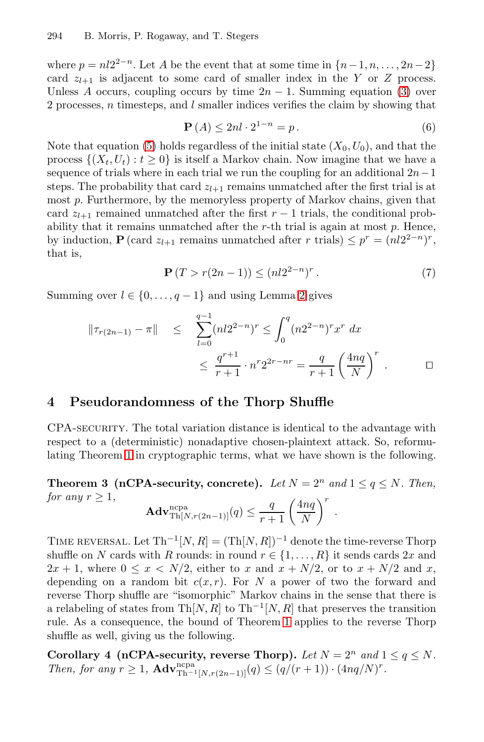where  $p = n!2^{2-n}$ . Let A be the event that at some time in  $\{n-1, n, \ldots, 2n-2\}$ card  $z_{l+1}$  is adjacent to some card of smaller index in the Y or Z process. Unless A occurs, coupling occurs by time  $2n - 1$ . Summing equation (3) over 2 processes, n timesteps, and l smaller indices verifies the claim by showing that

$$
\mathbf{P}\left(A\right) \le 2nl \cdot 2^{1-n} = p. \tag{6}
$$

<span id="page-8-2"></span>Note that equation (5) holds regardless of the initial state  $(X_0, U_0)$ , and that the process  $\{(X_t, U_t) : t \geq 0\}$  is itself a Markov chain. Now imagine that we have a sequence of trials where in each trial we run the coupling for an additional  $2n-1$ steps. The probabi[l](#page-5-1)ity that card  $z_{l+1}$  remains unmatched after the first trial is at most p. Furthermore, by the memoryless property of Markov chains, given that card  $z_{l+1}$  remained unmatched after the first  $r-1$  trials, the conditional probability that it remains unmatched after the  $r$ -th trial is again at most  $p$ . Hence, by induction, **P** (card  $z_{l+1}$  remains unmatched after r trials)  $\leq p^r = (nl2^{2-n})^r$ , that is,

$$
\mathbf{P}\left(T > r(2n-1)\right) \le (nl2^{2-n})^r. \tag{7}
$$

Summing over  $l \in \{0, \ldots, q-1\}$  and using Lemma 2 gives

$$
\|\tau_{r(2n-1)} - \pi\| \leq \sum_{l=0}^{q-1} (nl2^{2-n})^r \leq \int_0^q (n2^{2-n})^r x^r dx
$$
  

$$
\leq \frac{q^{r+1}}{r+1} \cdot n^r 2^{2r-nr} = \frac{q}{r+1} \left(\frac{4nq}{N}\right)^r . \qquad \Box
$$

### <span id="page-8-0"></span>**4 Pseudorandomness of the Thorp Shuffle**

CPA-security. The total variation distance is identical to the advantage with respect to a (deterministic) nonadaptive chosen-plaintext attack. So, reformulating Theorem 1 in cryptographic terms, what we have shown is the following.

**Theorem 3 (nCPA-security, concrete).** *Let*  $N = 2^n$  *and*  $1 \leq q \leq N$ *. Then, for any*  $r > 1$ ,

<span id="page-8-1"></span>
$$
\mathbf{Adv}_{\text{Th}[N,r(2n-1)]}^{\text{ncpa}}(q) \leq \frac{q}{r+1} \left(\frac{4nq}{N}\right)^r.
$$

TIME REVERSAL. Let  $\text{Th}^{-1}[N,R] = (\text{Th}[N,R])^{-1}$  denote the time-reverse Thorp shuffle on N cards with R rounds: in round  $r \in \{1, ..., R\}$  it sends cards  $2x$  and  $2x + 1$ , where  $0 \le x \le N/2$ , either to x and  $x + N/2$ , or to  $x + N/2$  and x, depending on a random bit  $c(x, r)$ . For N a power of two the forward and reverse Thorp shuffle are "isomorphic" Markov chains in the sense that there is a relabeling of states from Th[N, R] to Th<sup>-1</sup>[N, R] that preserves the transition rule. As a consequence, the bound of Theorem 1 applies to the reverse Thorp shuffle as well, giving us the following.

**Corollary 4 (nCPA-security, reverse Thorp).** Let  $N = 2^n$  and  $1 \le q \le N$ . *Then, for any*  $r \geq 1$ ,  $\mathbf{Adv}_{\text{Th-1}[N,r(2n-1)]}^{\text{ncpa}}(q) \leq (q/(r+1)) \cdot (4nq/N)^r$ .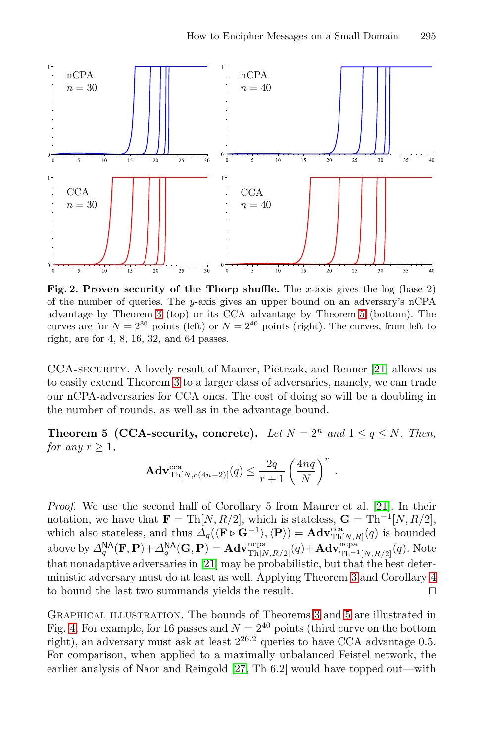

<span id="page-9-0"></span>Fig. 2. Proven security of the Thorp shuffle. The x-axis gives the log (base 2) of the number of queries. The y-axis gives an upper bound on an adversary's nCPA advantage by Theorem 3 (top) or its CCA advantage by Theorem 5 (bottom). The curves are for  $N = 2^{30}$  points (left) or  $N = 2^{40}$  points (right). The curves, from left to right, are for 4, 8, 16, 32, and 64 passes.

CCA-security. A lovely result of Maurer, Pietrzak, and Renner [21] allows us to easily extend Theorem 3 to a larger class of adversaries, namely, we can trade our nCPA-adversaries for CCA ones. The cost [of d](#page-15-3)oing so will be a doubling in the number of rounds, as well as in the advantage bound.

**Theorem 5 (CCA-security, concrete).** *Let*  $N = 2^n$  *and*  $1 \leq q \leq N$ *. Then, for any*  $r \geq 1$ *,* 

$$
\mathbf{Adv}_{\mathrm{Th}[N,r(4n-2)]}^{\mathrm{cca}}(q) \leq \frac{2q}{r+1} \left(\frac{4nq}{N}\right)^r.
$$

*Proof.* We use the second half of [Co](#page-8-0)rolla[ry](#page-9-0) 5 from Maurer et al. [21]. In their notation, we have that **F** = Th[N, R/2], which is stateless,  $\mathbf{G} = \text{Th}^{-1}[N, R/2]$ , which also stateless, and thus  $\Delta_q(\langle \mathbf{F} \triangleright \mathbf{G}^{-1} \rangle, \langle \mathbf{P} \rangle) = \mathbf{Adv}_{\text{Th}[N,R]}^{\text{cca}}(q)$  is bounded above by  $\Delta_q^{\textsf{NA}}(\mathbf{F}, \mathbf{P}) + \Delta_q^{\textsf{NA}}(\mathbf{G}, \mathbf{P}) = \mathbf{Adv}_{\text{Th}[N, R/2]}^{\text{ncpa}}(q) + \mathbf{Adv}_{\text{Th}^{-1}[N, R/2]}^{\text{ncpa}}(q).$  Note that nonadaptive a[dve](#page-15-1)rsaries in [21] may be probabilistic, but that the best deterministic adversary must do at least as well. Applying Theorem 3 and Corollary 4 to bound the last two summands yields the result.  $\square$ 

Graphical illustration. The bounds of Theorems 3 and 5 are illustrated in Fig. 4. For example, for 16 passes and  $N = 2^{40}$  points (third curve on the bottom right), an adversary must ask at least  $2^{26.2}$  queries to have CCA advantage 0.5. For comparison, when applied to a maximally unbalanced Feistel network, the earlier analysis of Naor and Reingold [27, Th 6.2] would have topped out—with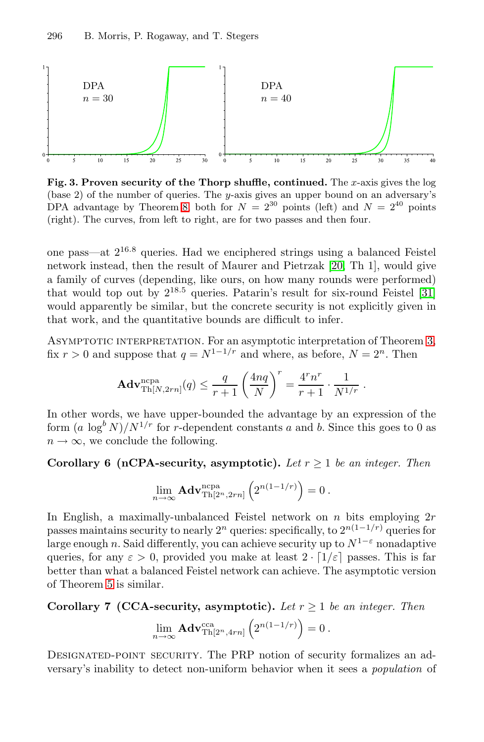

**Fig. 3. Proven security of the Thorp shuffle, continued.** The x-axis gives the log (base 2) of the number of queries. The y-axis gives an upper [bou](#page-15-14)nd on an adversary's DPA advantage by Theorem 8, both for  $N = 2^{30}$  points (left) and  $N = 2^{40}$  points (right). The curves, from left to right, are for two passes and then four.

one pass—at  $2^{16.8}$  queries. Had we enciphered strings using a balanced Feistel network instead, then the result of Maurer and Pietrzak [20, Th 1], would give a family of curves (depending, like ours, on how many rounds were performed) that would top out by  $2^{18.5}$  queries. Patarin's result for six-round Feistel [31] would apparently be similar, but the concrete security is not explicitly given in that work, and the quantitative bounds are difficult to infer.

Asymptotic interpretation. For an asymptotic interpretation of Theorem 3, fix  $r > 0$  and suppose that  $q = N^{1-1/r}$  and where, as before,  $N = 2<sup>n</sup>$ . Then

$$
\mathbf{Adv}_{\text{Th}[N,2rn]}^{\text{ncpa}}(q) \leq \frac{q}{r+1} \left(\frac{4nq}{N}\right)^r = \frac{4^r n^r}{r+1} \cdot \frac{1}{N^{1/r}}.
$$

In other words, we have upper-bounded the advantage by an expression of the form  $(a \log^b N)/N^{1/r}$  for r-dependent constants a and b. Since this goes to 0 as  $n \to \infty$ , we conclude the following.

**Corollary 6 (nCPA-security, asymptotic).** *Let*  $r \geq 1$  *be an integer. Then* 

$$
\lim_{n\to\infty}\mathbf{Adv}_{\mathrm{Th}[2^n,2rn]}^{\mathrm{ncpa}}\left(2^{n(1-1/r)}\right)=0.
$$

In English, a maximally-unbalanced Feistel network on  $n$  bits employing  $2r$ passes maintains security to nearly  $2^n$  queries: specifically, to  $2^{n(1-1/r)}$  queries for large enough n. Said differently, you can achieve security up to  $N^{1-\epsilon}$  nonadaptive queries, for any  $\varepsilon > 0$ , provided you make at least  $2 \cdot [1/\varepsilon]$  passes. This is far better than what a balanced Feistel network can achieve. The asymptotic version of Theorem 5 is similar.

**Corollary 7 (CCA-security, asymptotic).** *Let* r ≥ 1 *be an integer. Then*

$$
\lim_{n\to\infty}\mathbf{Adv}_{\mathrm{Th}[2^n,4rn]}^{\mathrm{cca}}\left(2^{n(1-1/r)}\right)=0.
$$

DESIGNATED-POINT SECURITY. The PRP notion of security formalizes an adversary's inability to detect non-uniform behavior when it sees a *population* of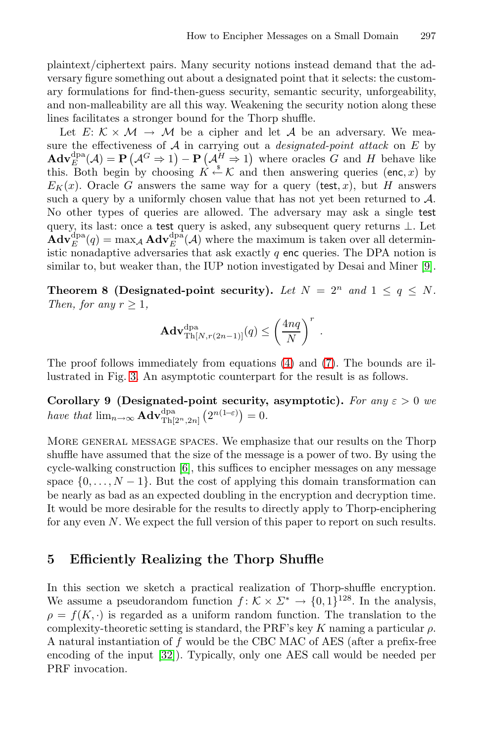.

plaintext/ciphertext pairs. Many security notions instead demand that the adversary figure something out about a designated point that it selects: the customary formulations for find-then-guess security, semantic security, unforgeability, and non-malleability are all this way. Weakening the security notion along these lines facilitates a stronger bound for the Thorp shuffle.

<span id="page-11-0"></span>Let  $E: \mathcal{K} \times \mathcal{M} \rightarrow \mathcal{M}$  be a cipher and let A be an adversary. We measure the effectiveness of A in carrying out a *designated-point attack* on E by  $\mathbf{Adv}_{E}^{\text{dra}}(\mathcal{A}) = \mathbf{P}(\mathcal{A}^{G} \Rightarrow 1) - \mathbf{P}(\mathcal{A}_{\bullet}^{H} \Rightarrow 1)$  $\mathbf{Adv}_{E}^{\text{dra}}(\mathcal{A}) = \mathbf{P}(\mathcal{A}^{G} \Rightarrow 1) - \mathbf{P}(\mathcal{A}_{\bullet}^{H} \Rightarrow 1)$  $\mathbf{Adv}_{E}^{\text{dra}}(\mathcal{A}) = \mathbf{P}(\mathcal{A}^{G} \Rightarrow 1) - \mathbf{P}(\mathcal{A}_{\bullet}^{H} \Rightarrow 1)$  where oracles G and H behave like this. Both begin by choosing  $\hat{K} \stackrel{\ast}{\leftarrow} \mathcal{K}$  and then answering queries (enc, x) by  $E_K(x)$ . Oracle G answers the same way for a query (test, x), but H answers such a query by a uniformly chosen value that has not yet been returned to  $\mathcal{A}$ . No other types of queries are allowed. The adversary may ask a single test query, its last: once a test query is asked, any subsequent query returns ⊥. Let  $\mathbf{Adv}_{E}^{\text{dpa}}(q) = \max_{\mathcal{A}} \mathbf{Adv}_{E}^{\text{dpa}}(\mathcal{A})$  where the maximum is taken over all deterministic nonadaptive adversaries [th](#page-7-1)at ask [e](#page-8-2)xactly  $q$  enc queries. The DPA notion is similar to, but weaker than, the IUP notion investigated by Desai and Miner [9].

**Theorem 8 (Designated-point security).** Let  $N = 2^n$  and  $1 \le q \le N$ . *Then, for any*  $r \geq 1$ *,* 

$$
\mathbf{Adv}_{\mathrm{Th}[N,r(2n-1)]}^{\mathrm{dpa}}(q) \le \left(\frac{4nq}{N}\right)^r
$$

The pro[of](#page-14-3) follows immediately from equations (4) and (7). The bounds are illustrated in Fig. 3. An asymptotic counterpart for the result is as follows.

**Corollary 9 (Designated-point security, asymptotic).** *For any*  $\varepsilon > 0$  *we have that*  $\lim_{n\to\infty} \mathbf{Adv}_{\text{Th}[2^n,2n]}^{\text{dpa}}(2^{n(1-\varepsilon)})=0.$ 

More general message spaces. We emphasize that our results on the Thorp shuffle have assumed that the size of the message is a power of two. By using the cycle-walking construction [6], this suffices to encipher messages on any message space  $\{0,\ldots,N-1\}$ . But the cost of applying this domain transformation can be nearly as bad as an expected doubling in the encryption and decryption time. It would be more desirable for the results to directly apply to Thorp-enciphering for any even N. We expect the full version of this paper to report on such results.

### **5 [Effi](#page-15-15)ciently Realizing the Thorp Shuffle**

In this section we sketch a practical realization of Thorp-shuffle encryption. We assume a pseudorandom function  $f: \mathcal{K} \times \Sigma^* \to \{0,1\}^{128}$ . In the analysis,  $\rho = f(K, \cdot)$  is regarded as a uniform random function. The translation to the complexity-theoretic setting is standard, the PRF's key K naming a particular  $\rho$ . A natural instantiation of f would be the CBC MAC of AES (after a prefix-free encoding of the input [32]). Typically, only one AES call would be needed per PRF invocation.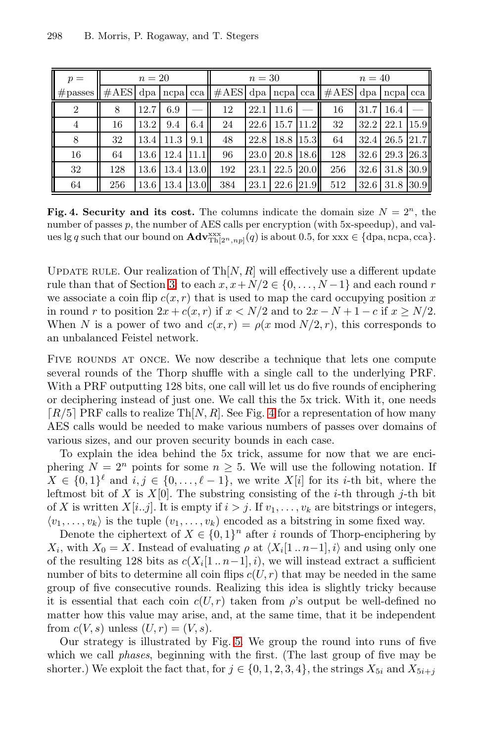<span id="page-12-0"></span>

| $p =$                 |                | $n=20$ |           |                   |                                                                           | $n=30$ |               |             |     | $n=40$ |                      |      |
|-----------------------|----------------|--------|-----------|-------------------|---------------------------------------------------------------------------|--------|---------------|-------------|-----|--------|----------------------|------|
| $\parallel \#$ passes | $\#\text{AES}$ |        |           |                   | dpa   ncpa   cca    $\# \text{AES}$   dpa   ncpa   cca    $\# \text{AES}$ |        |               |             |     |        | dpa ncpa cca         |      |
| $\overline{2}$        | 8              | 12.7   | 6.9       |                   | 12                                                                        | 22.1   | 11.6          |             | 16  | 31.7   | 16.4                 |      |
| 4                     | 16             | 13.2   | 9.4       | 6.4               | 24                                                                        | 22.6   | $15.7$ $11.2$ |             | 32  |        | $32.2 \mid 22.1$     | 15.9 |
| 8                     | 32             | 13.4   | 11.3      | $\vert 9.1 \vert$ | 48                                                                        | 22.8   | 18.8   15.3   |             | 64  |        | $32.4$   26.5   21.7 |      |
| 16                    | 64             | 13.6   | 12.4      | 11.1              | 96                                                                        | 23.0   | 20.8          | 18.6        | 128 | 32.6   | 29.3 26.3            |      |
| 32                    | 128            | 13.6   | 13.4      | 13.0              | 192                                                                       | 23.1   | 22.5          | <b>20.0</b> | 256 | 32.6   | 31.8                 | 30.9 |
| 64                    | 256            | 13.6   | 13.4 13.0 |                   | 384                                                                       | 23.1   | 22.6 21.9     |             | 512 | 32.6   | 31.8                 | 30.9 |

**Fig. 4. Security and its cost.** The columns indicate the domain size  $N = 2^n$ , the number of passes p, the number of AES calls per encryption (with 5x-speedup), and values lg q such that our bound on  $\mathbf{Adv}_{\text{Th}[2^n,np]}^{\text{xxx}}(q)$  is about 0.5, for  $\text{xxx} \in \{\text{dpa}, \text{ncpa}, \text{cca}\}.$ 

UPDATE RULE. Our realization of  $\text{Th}[N,R]$  will effectively use a different update rule than that of Section 3: to each  $x, x+N/2 \in \{0, \ldots, N-1\}$  and each round r we associate a coin flip  $c(x, r)$  that is used to map the card occupying position x in round r to position  $2x + c(x, r)$  $2x + c(x, r)$  $2x + c(x, r)$  if  $x < N/2$  and to  $2x - N + 1 - c$  if  $x \ge N/2$ . When N is a power of two and  $c(x, r) = \rho(x \mod N/2, r)$ , this corresponds to an unbalanced Feistel network.

FIVE ROUNDS AT ONCE. We now describe a technique that lets one compute several rounds of the Thorp shuffle with a single call to the underlying PRF. With a PRF outputting 128 bits, one call will let us do five rounds of enciphering or deciphering instead of just one. We call this the 5x trick. With it, one needs  $[R/5]$  PRF calls to realize Th $[N, R]$ . See Fig. 4 for a representation of how many AES calls would be needed to make various numbers of passes over domains of various sizes, and our proven security bounds in each case.

To explain the idea behind the 5x trick, assume for now that we are enciphering  $N = 2^n$  points for some  $n \geq 5$ . We will use the following notation. If  $X \in \{0,1\}^{\ell}$  and  $i, j \in \{0,\ldots,\ell-1\}$ , we write  $X[i]$  for its *i*-th bit, where the leftmost bit of X is  $X[0]$ . The substring consisting of the *i*-th through *j*-th bit of X is written  $X[i..j]$ . It is empty if  $i>j$ . If  $v_1,\ldots,v_k$  are bitstrings or integers,  $\langle v_1,\ldots,v_k\rangle$  is the tuple  $(v_1,\ldots,v_k)$  encoded as a bitstring in some fixed way.

Denote the ciph[ert](#page-13-0)ext of  $X \in \{0,1\}^n$  after i rounds of Thorp-enciphering by  $X_i$ , with  $X_0 = X$ . Instead of evaluating  $\rho$  at  $\langle X_i[1 \dots n-1], i \rangle$  and using only one of the resulting 128 bits as  $c(X_i[1.. n-1], i)$ , we will instead extract a sufficient number of bits to determine all coin flips  $c(U, r)$  that may be needed in the same group of five consecutive rounds. Realizing this idea is slightly tricky because it is essential that each coin  $c(U, r)$  taken from  $\rho$ 's output be well-defined no matter how this value may arise, and, at the same time, that it be independent from  $c(V, s)$  unless  $(U, r) = (V, s)$ .

Our strategy is illustrated by Fig. 5. We group the round into runs of five which we call *phases*, beginning with the first. (The last group of five may be shorter.) We exploit the fact that, for  $j \in \{0, 1, 2, 3, 4\}$ , the strings  $X_{5i}$  and  $X_{5i+j}$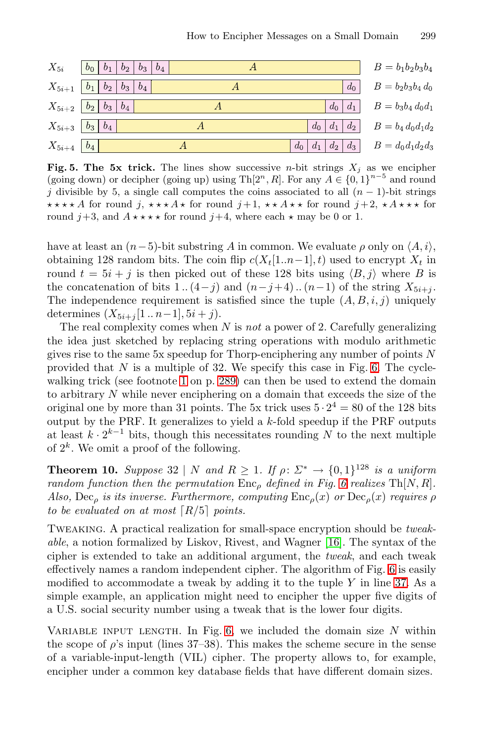<span id="page-13-0"></span>

| $X_{5i}$           | $b_0$   $b_1$   $b_2$   $b_3$   $b_4$      |                               | $B = b_1b_2b_3b_4$    |
|--------------------|--------------------------------------------|-------------------------------|-----------------------|
|                    | $X_{5i+1}$   $b_1$   $b_2$   $b_3$   $b_4$ | $d_0$                         | $B = b_2b_3b_4d_0$    |
|                    | $X_{5i+2}$ $b_2$ $b_3$ $b_4$               | $d_0 \mid d_1 \mid$           | $B = b_3b_4 d_0d_1$   |
|                    | $X_{5i+3}  b_3  b_4$                       | $ d_2 $<br>$d_0 \mid d_1$     | $B = b_4 d_0 d_1 d_2$ |
| $X_{5i+4}$   $b_4$ |                                            | $ d_2 d_3 $<br>$d_1$<br>$d_0$ | $B = d_0 d_1 d_2 d_3$ |

**Fig. 5. The 5x trick.** The lines show successive *n*-bit strings  $X_i$  as we encipher (going down) or decipher (going up) using Th[2<sup>n</sup>, R]. For any  $A \in \{0, 1\}^{n-5}$  and round j divisible by 5, a single call computes the coins associated to all  $(n - 1)$ -bit strings \*\*\*\* A for round j, \*\*\* A \* for round j + 1, \*\* A \* \* for round j + 2, \* A \* \* \* for round  $j+3$ , and  $A \star \star \star \star$  for round  $j+4$ , where each  $\star$  may be 0 or 1.

have at least an  $(n-5)$ -bit substring A in common. We evaluate  $\rho$  only on  $\langle A, i \rangle$ , obtaining [1](#page-14-4)28 random bits. The coin flip  $c(X_t[1..n-1], t)$  used to encrypt  $X_t$  in round  $t = 5i + j$  $t = 5i + j$  $t = 5i + j$  [is](#page-1-0) then picked out of these 128 bits using  $\langle B, j \rangle$  where B is the concatenation of bits 1.. $(4-j)$  and  $(n-j+4)$ .. $(n-1)$  of the string  $X_{5i+i}$ . The independence requirement is satisfied since the tuple  $(A, B, i, j)$  uniquely determines  $(X_{5i+j}[1.. n-1], 5i+j).$ 

The real complexity comes when N is *not* a power of 2. Carefully generalizing the idea just sketched by replacing string operations with modulo arithmetic gives rise to the same  $5x$  speedup for Thorp-enciphering any number of points  $N$ provided that  $N$  is a multiple of 32. We specify this case in Fig. 6. The cyclewalking trick (see footnote 1 on p. 289) [can](#page-14-4) then be used to extend the domain to arbitrary N while never enciphering on a domain that exceeds the size of the original one by more than 31 points. The 5x trick uses  $5 \cdot 2^4 = 80$  of the 128 bits output by the PRF. It generalizes to yield a  $k$ -fold speedup if the PRF outputs at least  $k \cdot 2^{k-1}$  bits, though this nec[essit](#page-15-4)ates rounding N to the next multiple of  $2^k$ . We omit a proof of the following.

**Theorem 10.** *Suppose* 32 | N *and*  $R \ge 1$ *. If*  $\rho: \Sigma^* \to \{0, 1\}^{128}$  *is a uniform random function then the permutation*  $\text{Enc}_{\rho}$  *def[in](#page-14-5)ed in Fig. 6 realizes*  $\text{Th}[N, R]$ *. Also,* Dec<sub>*o</sub> is its inverse. Furthermore, computing*  $Enc<sub>o</sub>(x)$  *or*  $Dec<sub>o</sub>(x)$  *requires*  $\rho$ </sub> *to be evaluated on at most*  $\lceil R/5 \rceil$  *points.* 

Tweaking. A p[rac](#page-14-4)tical realization for small-space encryption should be *tweakable*, a notion formalized by Liskov, Rivest, and Wagner [16]. The syntax of the cipher is extended to take an additional argument, the *tweak*, and each tweak effectively names a random independent cipher. The algorithm of Fig. 6 is easily modified to accommodate a tweak by adding it to the tuple  $Y$  in line 37. As a simple example, an application might need to encipher the upper five digits of a U.S. social security number using a tweak that is the lower four digits.

VARIABLE INPUT LENGTH. In Fig. 6, we included the domain size  $N$  within the scope of  $\rho$ 's input (lines 37–38). This makes the scheme secure in the sense of a variable-input-length (VIL) cipher. The property allows to, for example, encipher under a common key database fields that have different domain sizes.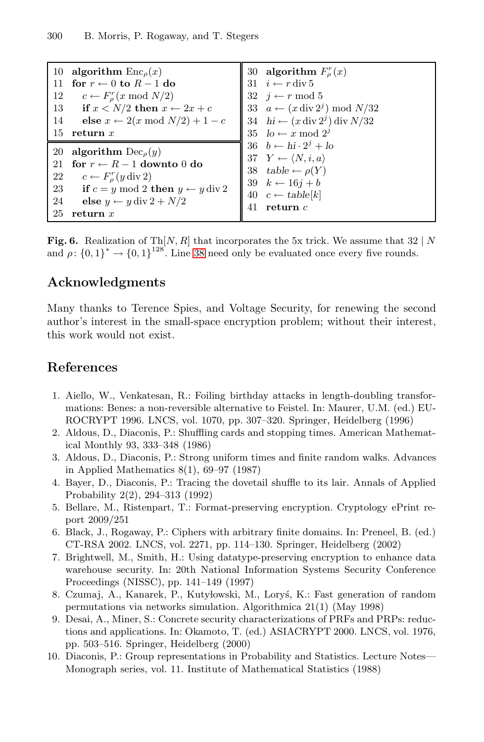<span id="page-14-6"></span><span id="page-14-5"></span><span id="page-14-4"></span>

| 10  | algorithm $Enc_{\rho}(x)$                              | algorithm $F_o^r(x)$<br>30                                            |
|-----|--------------------------------------------------------|-----------------------------------------------------------------------|
| -11 | for $r \leftarrow 0$ to $R-1$ do                       | 31 $i \leftarrow r \operatorname{div} 5$                              |
| 12  | $c \leftarrow F_a^r(x \mod N/2)$                       | 32 $i \leftarrow r \mod 5$                                            |
| 13  | if $x < N/2$ then $x \leftarrow 2x + c$                | 33 $a \leftarrow (x \operatorname{div} 2^j) \mod N/32$                |
| 14  | else $x \leftarrow 2(x \mod N/2) + 1 - c$              | 34 $hi \leftarrow (x \operatorname{div} 2^j) \operatorname{div} N/32$ |
| 15  | return $x$                                             | 35 $lo \leftarrow x \mod 2^y$                                         |
|     |                                                        |                                                                       |
| 20  | algorithm $Dec_{\rho}(y)$                              | 36 $b \leftarrow h\mathbf{i} \cdot 2^j + l\mathbf{o}$                 |
| 21  | for $r \leftarrow R-1$ downto 0 do                     | 37 $Y \leftarrow \langle N, i, a \rangle$                             |
| 22  | $c \leftarrow F_{\rho}^r(y \operatorname{div} 2)$      | 38 table $\leftarrow \rho(Y)$                                         |
| 23  | if $c = y \mod 2$ then $y \leftarrow y \text{ div } 2$ | 39 $k \leftarrow 16j + b$                                             |
| 24  | else $y \leftarrow y$ div $2 + N/2$                    | 40 $c \leftarrow table[k]$<br>return $c$<br>41                        |

**Fig. 6.** Realization of  $\text{Th}[N, R]$  that incorporates the 5x trick. We assume that 32 | N and  $\rho: \{0,1\}^* \to \{0,1\}^{128}$ . Line 38 need only be evaluated once every five rounds.

### <span id="page-14-0"></span>**Acknowledgments**

Many thanks to Terence Spies, and Voltage Security, for renewing the second author's interest in the small-space encryption problem; without their interest, this work would not exist.

# **References**

- 1. Aiello, W., Venkatesan, R.: Foiling birthday attacks in length-doubling transformations: Benes: a non-reversible alternative to Feistel. In: Maurer, U.M. (ed.) EU-ROCRYPT 1996. LNCS, vol. 1070, pp. 307–320. Springer, Heidelberg (1996)
- <span id="page-14-3"></span><span id="page-14-1"></span>2. Aldous, D., Diaconis, P.: Shuffling cards and stopping times. American Mathematical Monthly 93, 333–348 (1986)
- 3. Aldous, D., Diaconis, P.: Strong uniform times and finite random walks. Advances in Applied Mathematics 8(1), 69–97 (1987)
- 4. Bayer, D., Diaconis, P.: Tracing the dovetail shuffle to its lair. Annals of Applied Probability 2(2), 294–313 (1992)
- <span id="page-14-2"></span>5. Bellare, M., Ristenpart, T.: Format-preserving encryption. Cryptology ePrint report 2009/251
- 6. Black, J., Rogaway, P.: Ciphers with arbitrary finite domains. In: Preneel, B. (ed.) CT-RSA 2002. LNCS, vol. 2271, pp. 114–130. Springer, Heidelberg (2002)
- 7. Brightwell, M., Smith, H.: Using datatype-preserving encryption to enhance data warehouse security. In: 20th National Information Systems Security Conference Proceedings (NISSC), pp. 141–149 (1997)
- 8. Czumaj, A., Kanarek, P., Kutylowski, M., Loryś, K.: Fast generation of random permutations via networks simulation. Algorithmica 21(1) (May 1998)
- 9. Desai, A., Miner, S.: Concrete security characterizations of PRFs and PRPs: reductions and applications. In: Okamoto, T. (ed.) ASIACRYPT 2000. LNCS, vol. 1976, pp. 503–516. Springer, Heidelberg (2000)
- 10. Diaconis, P.: Group representations in Probability and Statistics. Lecture Notes— Monograph series, vol. 11. Institute of Mathematical Statistics (1988)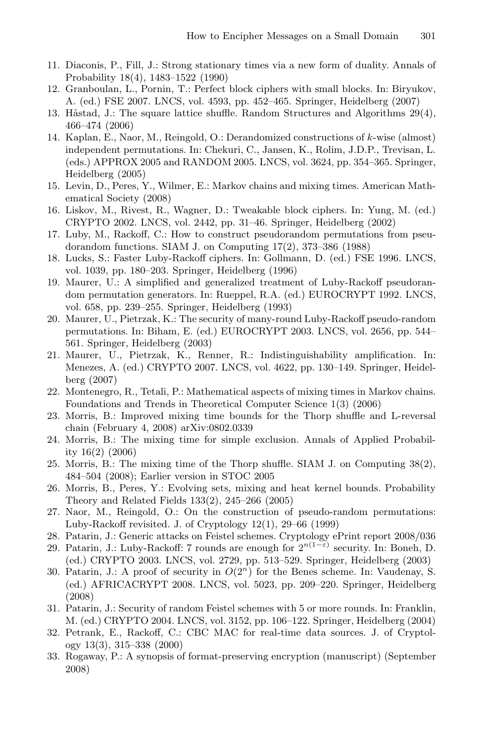- 11. Diaconis, P., Fill, J.: Strong stationary times via a new form of duality. Annals of Probability 18(4), 1483–1522 (1990)
- 12. Granboulan, L., Pornin, T.: Perfect block ciphers with small blocks. In: Biryukov, A. (ed.) FSE 2007. LNCS, vol. 4593, pp. 452–465. Springer, Heidelberg (2007)
- <span id="page-15-10"></span>13. Håstad, J.: The square lattice shuffle. Random Structures and Algorithms  $29(4)$ , 466–474 (2006)
- 14. Kaplan, E., Naor, M., Reingold, O.: Derandomized constructions of k-wise (almost) independent permutations. In: Chekuri, C., Jansen, K., Rolim, J.D.P., Trevisan, L. (eds.) APPROX 2005 and RANDOM 2005. LNCS, vol. 3624, pp. 354–365. Springer, Heidelberg (2005)
- <span id="page-15-13"></span>15. Levin, D., Peres, Y., Wilmer, E.: Markov chains and mixing times. American Mathematical Society (2008)
- <span id="page-15-4"></span>16. Liskov, M., Rivest, R., Wagner, D.: Tweakable block ciphers. In: Yung, M. (ed.) CRYPTO 2002. LNCS, vol. 2442, pp. 31–46. Springer, Heidelberg (2002)
- <span id="page-15-8"></span>17. Luby, M., Rackoff, C.: How to construct pseudorandom permutations from pseudorandom functions. SIAM J. on Computing 17(2), 373–386 (1988)
- <span id="page-15-2"></span>18. Lucks, S.: Faster Luby-Rackoff ciphers. In: Gollmann, D. (ed.) FSE 1996. LNCS, vol. 1039, pp. 180–203. Springer, Heidelberg (1996)
- 19. Maurer, U.: A simplified and generalized treatment of Luby-Rackoff pseudorandom permutation generators. In: Rueppel, R.A. (ed.) EUROCRYPT 1992. LNCS, vol. 658, pp. 239–255. Springer, Heidelberg (1993)
- <span id="page-15-9"></span>20. Maurer, U., Pietrzak, K.: The security of many-round Luby-Rackoff pseudo-random permutations. In: Biham, E. (ed.) EUROCRYPT 2003. LNCS, vol. 2656, pp. 544– 561. Springer, Heidelberg (2003)
- <span id="page-15-3"></span>21. Maurer, U., Pietrzak, K., Renner, R.: Indistinguishability amplification. In: Menezes, A. (ed.) CRYPTO 2007. LNCS, vol. 4622, pp. 130–149. Springer, Heidelberg (2007)
- <span id="page-15-6"></span>22. Montenegro, R., Tetali, P.: Mathematical aspects of mixing times in Markov chains. Foundations and Trends in Theoretical Computer Science 1(3) (2006)
- <span id="page-15-7"></span>23. Morris, B.: Improved mixing time bounds for the Thorp shuffle and L-reversal chain (February 4, 2008) arXiv:0802.0339
- 24. Morris, B.: The mixing time for simple exclusion. Annals of Applied Probability 16(2) (2006)
- <span id="page-15-5"></span>25. Morris, B.: The mixing time of the Thorp shuffle. SIAM J. on Computing 38(2), 484–504 (2008); Earlier version in STOC 2005
- 26. Morris, B., Peres, Y.: Evolving sets, mixing and heat kernel bounds. Probability Theory and Related Fields 133(2), 245–266 (2005)
- <span id="page-15-1"></span>27. Naor, M., Reingold, O.: On the construction of pseudo-random permutations: Luby-Rackoff revisited. J. of Cryptology 12(1), 29–66 (1999)
- <span id="page-15-12"></span>28. Patarin, J.: Generic attacks on Feistel schemes. Cryptology ePrint report 2008/036
- 29. Patarin, J.: Luby-Rackoff: 7 rounds are enough for  $2^{n(1-\varepsilon)}$  security. In: Boneh, D. (ed.) CRYPTO 2003. LNCS, vol. 2729, pp. 513–529. Springer, Heidelberg (2003)
- <span id="page-15-0"></span>30. Patarin, J.: A proof of security in  $O(2<sup>n</sup>)$  for the Benes scheme. In: Vaudenay, S. (ed.) AFRICACRYPT 2008. LNCS, vol. 5023, pp. 209–220. Springer, Heidelberg (2008)
- <span id="page-15-14"></span>31. Patarin, J.: Security of random Feistel schemes with 5 or more rounds. In: Franklin, M. (ed.) CRYPTO 2004. LNCS, vol. 3152, pp. 106–122. Springer, Heidelberg (2004)
- <span id="page-15-15"></span>32. Petrank, E., Rackoff, C.: CBC MAC for real-time data sources. J. of Cryptology 13(3), 315–338 (2000)
- <span id="page-15-11"></span>33. Rogaway, P.: A synopsis of format-preserving encryption (manuscript) (September 2008)